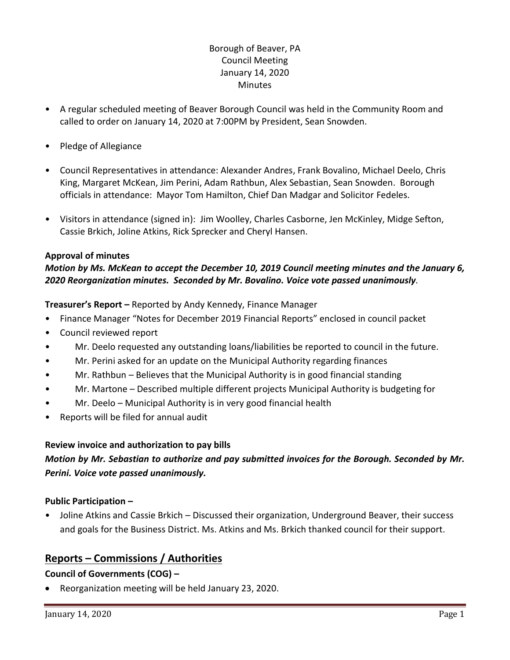# Borough of Beaver, PA Council Meeting January 14, 2020 Minutes

- A regular scheduled meeting of Beaver Borough Council was held in the Community Room and called to order on January 14, 2020 at 7:00PM by President, Sean Snowden.
- Pledge of Allegiance
- Council Representatives in attendance: Alexander Andres, Frank Bovalino, Michael Deelo, Chris King, Margaret McKean, Jim Perini, Adam Rathbun, Alex Sebastian, Sean Snowden. Borough officials in attendance: Mayor Tom Hamilton, Chief Dan Madgar and Solicitor Fedeles.
- Visitors in attendance (signed in): Jim Woolley, Charles Casborne, Jen McKinley, Midge Sefton, Cassie Brkich, Joline Atkins, Rick Sprecker and Cheryl Hansen.

## **Approval of minutes**

# *Motion by Ms. McKean to accept the December 10, 2019 Council meeting minutes and the January 6, 2020 Reorganization minutes. Seconded by Mr. Bovalino. Voice vote passed unanimously.*

**Treasurer's Report –** Reported by Andy Kennedy, Finance Manager

- Finance Manager "Notes for December 2019 Financial Reports" enclosed in council packet
- Council reviewed report
- Mr. Deelo requested any outstanding loans/liabilities be reported to council in the future.
- Mr. Perini asked for an update on the Municipal Authority regarding finances
- Mr. Rathbun Believes that the Municipal Authority is in good financial standing
- Mr. Martone Described multiple different projects Municipal Authority is budgeting for
- Mr. Deelo Municipal Authority is in very good financial health
- Reports will be filed for annual audit

## **Review invoice and authorization to pay bills**

# *Motion by Mr. Sebastian to authorize and pay submitted invoices for the Borough. Seconded by Mr. Perini. Voice vote passed unanimously.*

## **Public Participation –**

• Joline Atkins and Cassie Brkich – Discussed their organization, Underground Beaver, their success and goals for the Business District. Ms. Atkins and Ms. Brkich thanked council for their support.

# **Reports – Commissions / Authorities**

# **Council of Governments (COG) –**

Reorganization meeting will be held January 23, 2020.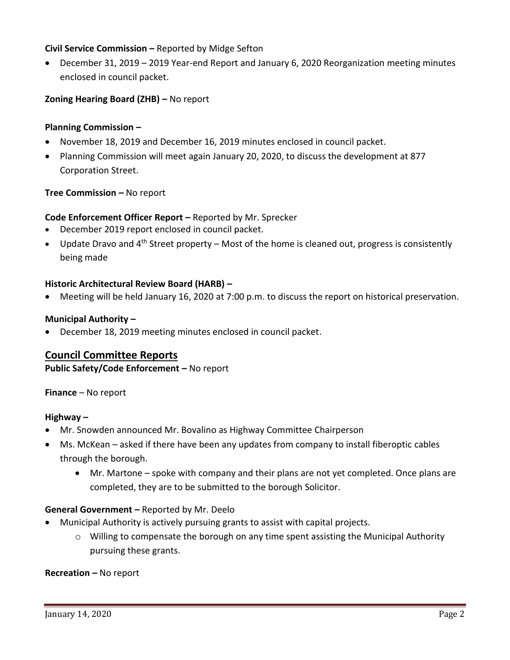## **Civil Service Commission –** Reported by Midge Sefton

 December 31, 2019 – 2019 Year-end Report and January 6, 2020 Reorganization meeting minutes enclosed in council packet.

# **Zoning Hearing Board (ZHB) –** No report

## **Planning Commission –**

- November 18, 2019 and December 16, 2019 minutes enclosed in council packet.
- Planning Commission will meet again January 20, 2020, to discuss the development at 877 Corporation Street.

## **Tree Commission –** No report

## **Code Enforcement Officer Report –** Reported by Mr. Sprecker

- December 2019 report enclosed in council packet.
- Update Dravo and  $4<sup>th</sup>$  Street property Most of the home is cleaned out, progress is consistently being made

## **Historic Architectural Review Board (HARB) –**

Meeting will be held January 16, 2020 at 7:00 p.m. to discuss the report on historical preservation.

#### **Municipal Authority –**

December 18, 2019 meeting minutes enclosed in council packet.

## **Council Committee Reports**

**Public Safety/Code Enforcement –** No report

**Finance** – No report

## **Highway –**

- Mr. Snowden announced Mr. Bovalino as Highway Committee Chairperson
- Ms. McKean asked if there have been any updates from company to install fiberoptic cables through the borough.
	- Mr. Martone spoke with company and their plans are not yet completed. Once plans are completed, they are to be submitted to the borough Solicitor.

## **General Government –** Reported by Mr. Deelo

- Municipal Authority is actively pursuing grants to assist with capital projects.
	- $\circ$  Willing to compensate the borough on any time spent assisting the Municipal Authority pursuing these grants.

#### **Recreation –** No report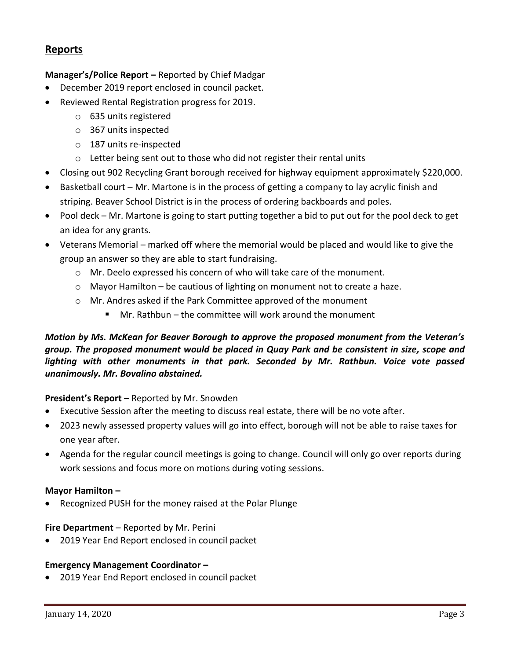# **Reports**

## **Manager's/Police Report –** Reported by Chief Madgar

- December 2019 report enclosed in council packet.
- Reviewed Rental Registration progress for 2019.
	- o 635 units registered
	- o 367 units inspected
	- o 187 units re-inspected
	- o Letter being sent out to those who did not register their rental units
- Closing out 902 Recycling Grant borough received for highway equipment approximately \$220,000.
- Basketball court Mr. Martone is in the process of getting a company to lay acrylic finish and striping. Beaver School District is in the process of ordering backboards and poles.
- Pool deck Mr. Martone is going to start putting together a bid to put out for the pool deck to get an idea for any grants.
- Veterans Memorial marked off where the memorial would be placed and would like to give the group an answer so they are able to start fundraising.
	- o Mr. Deelo expressed his concern of who will take care of the monument.
	- $\circ$  Mayor Hamilton be cautious of lighting on monument not to create a haze.
	- o Mr. Andres asked if the Park Committee approved of the monument
		- $\blacksquare$  Mr. Rathbun the committee will work around the monument

# *Motion by Ms. McKean for Beaver Borough to approve the proposed monument from the Veteran's group. The proposed monument would be placed in Quay Park and be consistent in size, scope and lighting with other monuments in that park. Seconded by Mr. Rathbun. Voice vote passed unanimously. Mr. Bovalino abstained.*

## **President's Report –** Reported by Mr. Snowden

- Executive Session after the meeting to discuss real estate, there will be no vote after.
- 2023 newly assessed property values will go into effect, borough will not be able to raise taxes for one year after.
- Agenda for the regular council meetings is going to change. Council will only go over reports during work sessions and focus more on motions during voting sessions.

## **Mayor Hamilton –**

• Recognized PUSH for the money raised at the Polar Plunge

## **Fire Department** – Reported by Mr. Perini

2019 Year End Report enclosed in council packet

#### **Emergency Management Coordinator –**

2019 Year End Report enclosed in council packet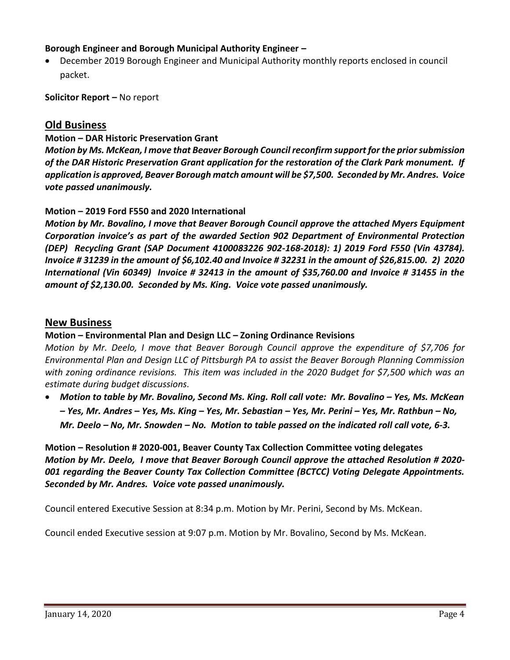## **Borough Engineer and Borough Municipal Authority Engineer –**

 December 2019 Borough Engineer and Municipal Authority monthly reports enclosed in council packet.

**Solicitor Report –** No report

# **Old Business**

## **Motion – DAR Historic Preservation Grant**

*Motion by Ms. McKean, I move that Beaver Borough Council reconfirm support for the prior submission of the DAR Historic Preservation Grant application for the restoration of the Clark Park monument. If application is approved, Beaver Borough match amount will be \$7,500. Seconded by Mr. Andres. Voice vote passed unanimously.*

## **Motion – 2019 Ford F550 and 2020 International**

*Motion by Mr. Bovalino, I move that Beaver Borough Council approve the attached Myers Equipment Corporation invoice's as part of the awarded Section 902 Department of Environmental Protection (DEP) Recycling Grant (SAP Document 4100083226 902-168-2018): 1) 2019 Ford F550 (Vin 43784). Invoice # 31239 in the amount of \$6,102.40 and Invoice # 32231 in the amount of \$26,815.00. 2) 2020 International (Vin 60349) Invoice # 32413 in the amount of \$35,760.00 and Invoice # 31455 in the amount of \$2,130.00. Seconded by Ms. King. Voice vote passed unanimously.*

## **New Business**

## **Motion – Environmental Plan and Design LLC – Zoning Ordinance Revisions**

*Motion by Mr. Deelo, I move that Beaver Borough Council approve the expenditure of \$7,706 for Environmental Plan and Design LLC of Pittsburgh PA to assist the Beaver Borough Planning Commission with zoning ordinance revisions. This item was included in the 2020 Budget for \$7,500 which was an estimate during budget discussions.* 

**•** Motion to table by Mr. Bovalino, Second Ms. King. Roll call vote: Mr. Bovalino – Yes, Ms. McKean *– Yes, Mr. Andres – Yes, Ms. King – Yes, Mr. Sebastian – Yes, Mr. Perini – Yes, Mr. Rathbun – No, Mr. Deelo – No, Mr. Snowden – No. Motion to table passed on the indicated roll call vote, 6-3.*

# **Motion – Resolution # 2020-001, Beaver County Tax Collection Committee voting delegates** *Motion by Mr. Deelo, I move that Beaver Borough Council approve the attached Resolution # 2020- 001 regarding the Beaver County Tax Collection Committee (BCTCC) Voting Delegate Appointments. Seconded by Mr. Andres. Voice vote passed unanimously.*

Council entered Executive Session at 8:34 p.m. Motion by Mr. Perini, Second by Ms. McKean.

Council ended Executive session at 9:07 p.m. Motion by Mr. Bovalino, Second by Ms. McKean.